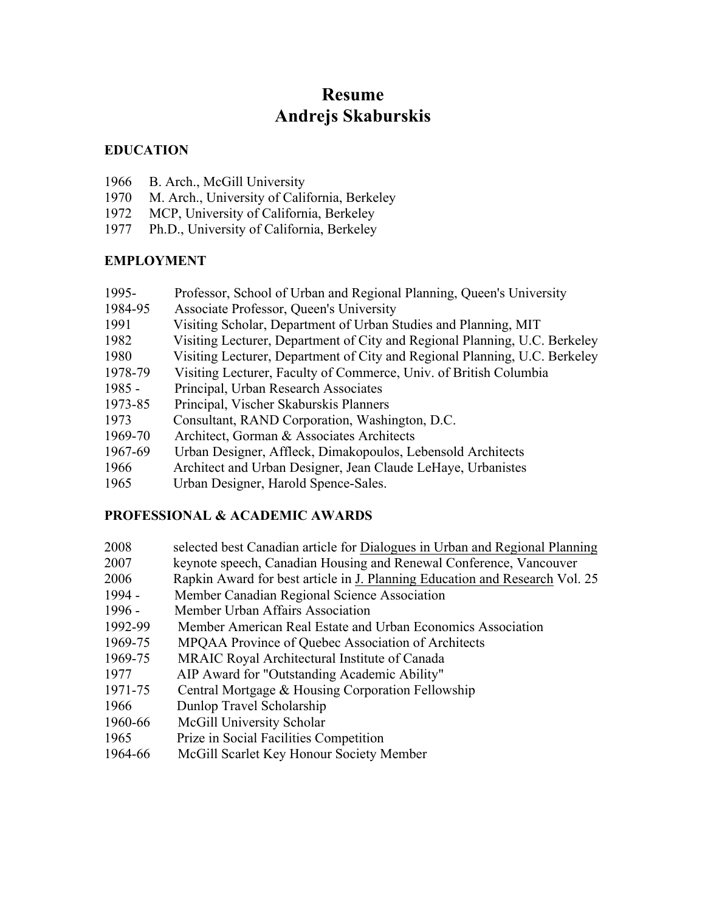# **Resume Andrejs Skaburskis**

## **EDUCATION**

- 1966 B. Arch., McGill University
- 1970 M. Arch., University of California, Berkeley
- 1972 MCP, University of California, Berkeley
- 1977 Ph.D., University of California, Berkeley

## **EMPLOYMENT**

- 1995- Professor, School of Urban and Regional Planning, Queen's University
- 1984-95 Associate Professor, Queen's University
- 1991 Visiting Scholar, Department of Urban Studies and Planning, MIT
- 1982 Visiting Lecturer, Department of City and Regional Planning, U.C. Berkeley
- 1980 Visiting Lecturer, Department of City and Regional Planning, U.C. Berkeley
- 1978-79 Visiting Lecturer, Faculty of Commerce, Univ. of British Columbia
- 1985 Principal, Urban Research Associates
- 1973-85 Principal, Vischer Skaburskis Planners
- 1973 Consultant, RAND Corporation, Washington, D.C.
- 1969-70 Architect, Gorman & Associates Architects
- 1967-69 Urban Designer, Affleck, Dimakopoulos, Lebensold Architects
- 1966 Architect and Urban Designer, Jean Claude LeHaye, Urbanistes
- 1965 Urban Designer, Harold Spence-Sales.

# **PROFESSIONAL & ACADEMIC AWARDS**

- 2008 selected best Canadian article for Dialogues in Urban and Regional Planning 2007 keynote speech, Canadian Housing and Renewal Conference, Vancouver 2006 Rapkin Award for best article in J. Planning Education and Research Vol. 25 1994 - Member Canadian Regional Science Association 1996 - Member Urban Affairs Association 1992-99 Member American Real Estate and Urban Economics Association 1969-75 MPQAA Province of Quebec Association of Architects 1969-75 MRAIC Royal Architectural Institute of Canada 1977 AIP Award for "Outstanding Academic Ability" 1971-75 Central Mortgage & Housing Corporation Fellowship 1966 Dunlop Travel Scholarship 1960-66 McGill University Scholar 1965 Prize in Social Facilities Competition
- 1964-66 McGill Scarlet Key Honour Society Member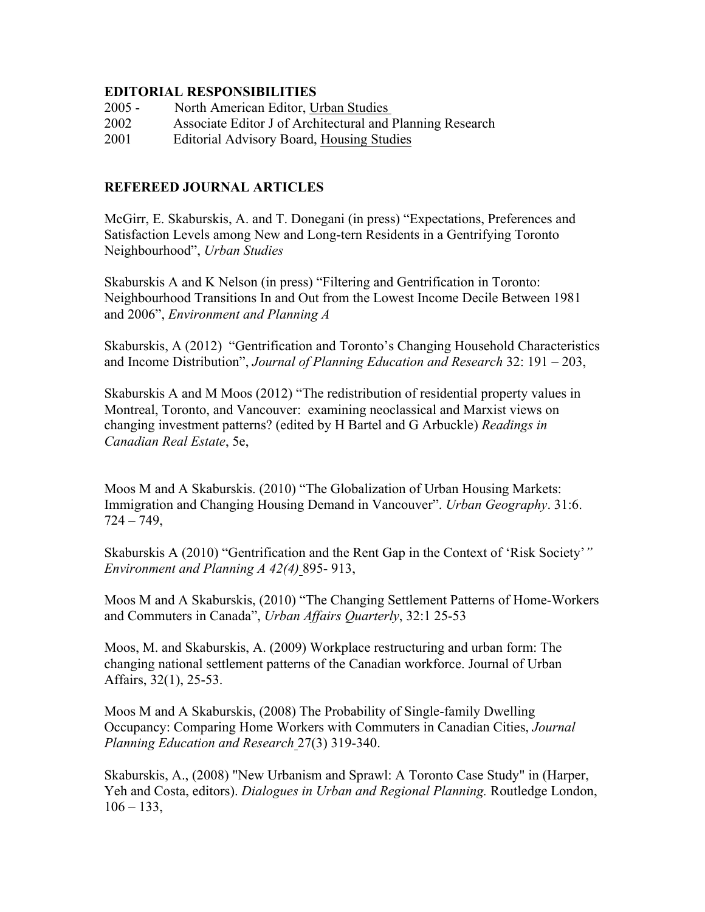#### **EDITORIAL RESPONSIBILITIES**

- 2005 North American Editor, Urban Studies
- 2002 Associate Editor J of Architectural and Planning Research
- 2001 Editorial Advisory Board, Housing Studies

#### **REFEREED JOURNAL ARTICLES**

McGirr, E. Skaburskis, A. and T. Donegani (in press) "Expectations, Preferences and Satisfaction Levels among New and Long-tern Residents in a Gentrifying Toronto Neighbourhood", *Urban Studies*

Skaburskis A and K Nelson (in press) "Filtering and Gentrification in Toronto: Neighbourhood Transitions In and Out from the Lowest Income Decile Between 1981 and 2006", *Environment and Planning A*

Skaburskis, A (2012) "Gentrification and Toronto's Changing Household Characteristics and Income Distribution", *Journal of Planning Education and Research* 32: 191 – 203,

Skaburskis A and M Moos (2012) "The redistribution of residential property values in Montreal, Toronto, and Vancouver: examining neoclassical and Marxist views on changing investment patterns? (edited by H Bartel and G Arbuckle) *Readings in Canadian Real Estate*, 5e,

Moos M and A Skaburskis. (2010) "The Globalization of Urban Housing Markets: Immigration and Changing Housing Demand in Vancouver". *Urban Geography*. 31:6.  $724 - 749$ ,

Skaburskis A (2010) "Gentrification and the Rent Gap in the Context of 'Risk Society'*" Environment and Planning A 42(4)* 895- 913,

Moos M and A Skaburskis, (2010) "The Changing Settlement Patterns of Home-Workers and Commuters in Canada", *Urban Affairs Quarterly*, 32:1 25-53

Moos, M. and Skaburskis, A. (2009) Workplace restructuring and urban form: The changing national settlement patterns of the Canadian workforce. Journal of Urban Affairs, 32(1), 25-53.

Moos M and A Skaburskis, (2008) The Probability of Single-family Dwelling Occupancy: Comparing Home Workers with Commuters in Canadian Cities, *Journal Planning Education and Research* 27(3) 319-340.

Skaburskis, A., (2008) "New Urbanism and Sprawl: A Toronto Case Study" in (Harper, Yeh and Costa, editors). *Dialogues in Urban and Regional Planning.* Routledge London,  $106 - 133$ ,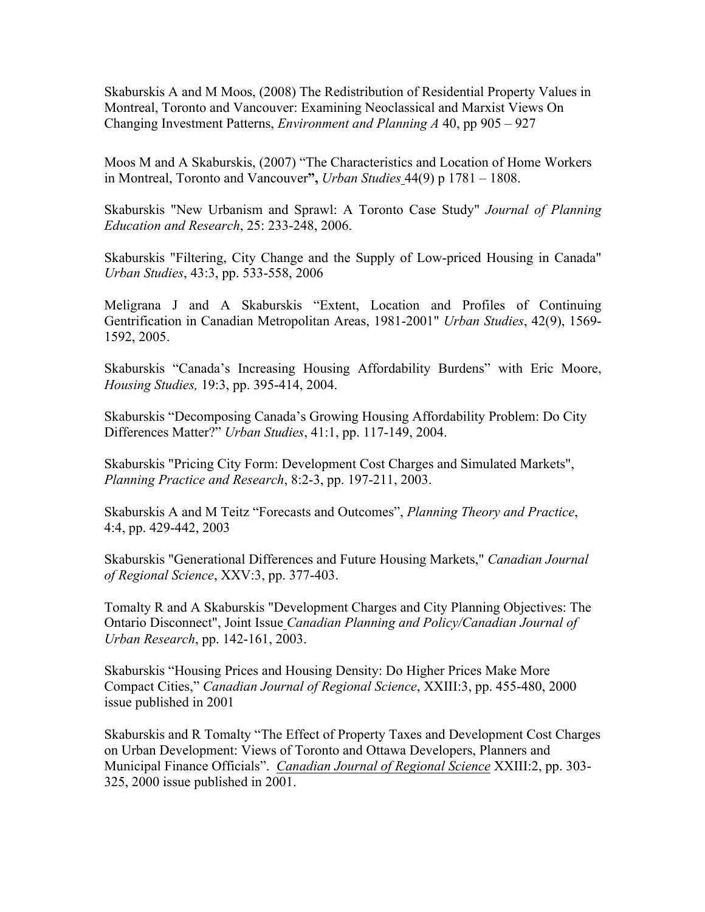Skaburskis A and M Moos, (2008) The Redistribution of Residential Property Values in Montreal, Toronto and Vancouver: Examining Neoclassical and Marxist Views On Changing Investment Patterns, *Environment and Planning A* 40, pp 905 – 927

Moos M and A Skaburskis, (2007) "The Characteristics and Location of Home Workers in Montreal, Toronto and Vancouver**",** *Urban Studies* 44(9) p 1781 – 1808.

Skaburskis "New Urbanism and Sprawl: A Toronto Case Study" *Journal of Planning Education and Research*, 25: 233-248, 2006.

Skaburskis "Filtering, City Change and the Supply of Low-priced Housing in Canada" *Urban Studies*, 43:3, pp. 533-558, 2006

Meligrana J and A Skaburskis "Extent, Location and Profiles of Continuing Gentrification in Canadian Metropolitan Areas, 1981-2001" *Urban Studies*, 42(9), 1569- 1592, 2005.

Skaburskis "Canada's Increasing Housing Affordability Burdens" with Eric Moore, *Housing Studies,* 19:3, pp. 395-414, 2004.

Skaburskis "Decomposing Canada's Growing Housing Affordability Problem: Do City Differences Matter?" *Urban Studies*, 41:1, pp. 117-149, 2004.

Skaburskis "Pricing City Form: Development Cost Charges and Simulated Markets", *Planning Practice and Research*, 8:2-3, pp. 197-211, 2003.

Skaburskis A and M Teitz "Forecasts and Outcomes", *Planning Theory and Practice*, 4:4, pp. 429-442, 2003

Skaburskis "Generational Differences and Future Housing Markets," *Canadian Journal of Regional Science*, XXV:3, pp. 377-403.

Tomalty R and A Skaburskis "Development Charges and City Planning Objectives: The Ontario Disconnect", Joint Issue *Canadian Planning and Policy/Canadian Journal of Urban Research*, pp. 142-161, 2003.

Skaburskis "Housing Prices and Housing Density: Do Higher Prices Make More Compact Cities," *Canadian Journal of Regional Science*, XXIII:3, pp. 455-480, 2000 issue published in 2001

Skaburskis and R Tomalty "The Effect of Property Taxes and Development Cost Charges on Urban Development: Views of Toronto and Ottawa Developers, Planners and Municipal Finance Officials". *Canadian Journal of Regional Science* XXIII:2, pp. 303- 325, 2000 issue published in 2001.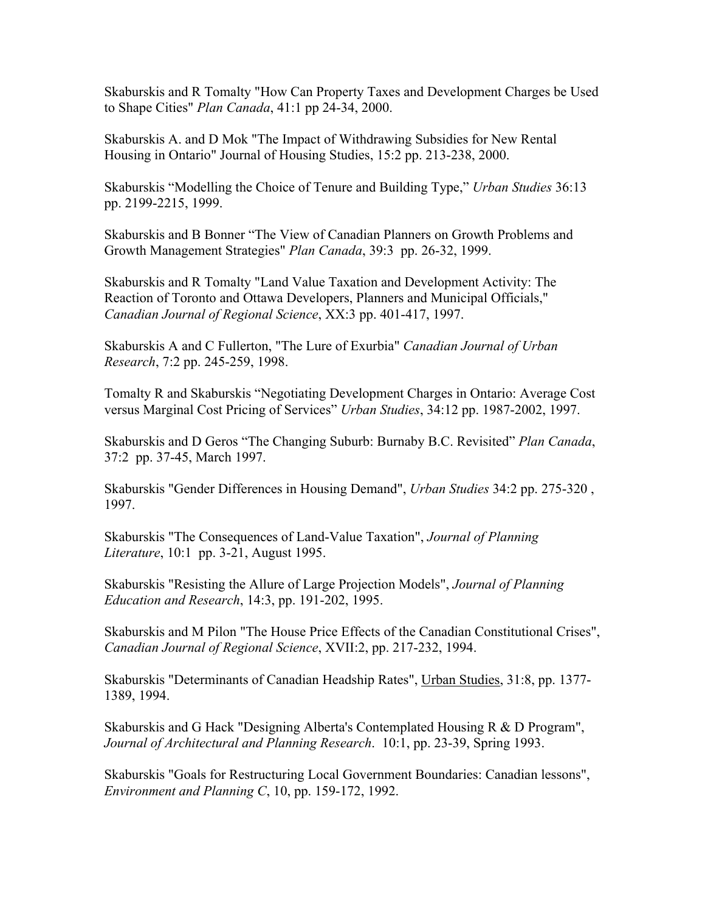Skaburskis and R Tomalty "How Can Property Taxes and Development Charges be Used to Shape Cities" *Plan Canada*, 41:1 pp 24-34, 2000.

Skaburskis A. and D Mok "The Impact of Withdrawing Subsidies for New Rental Housing in Ontario" Journal of Housing Studies, 15:2 pp. 213-238, 2000.

Skaburskis "Modelling the Choice of Tenure and Building Type," *Urban Studies* 36:13 pp. 2199-2215, 1999.

Skaburskis and B Bonner "The View of Canadian Planners on Growth Problems and Growth Management Strategies" *Plan Canada*, 39:3 pp. 26-32, 1999.

Skaburskis and R Tomalty "Land Value Taxation and Development Activity: The Reaction of Toronto and Ottawa Developers, Planners and Municipal Officials," *Canadian Journal of Regional Science*, XX:3 pp. 401-417, 1997.

Skaburskis A and C Fullerton, "The Lure of Exurbia" *Canadian Journal of Urban Research*, 7:2 pp. 245-259, 1998.

Tomalty R and Skaburskis "Negotiating Development Charges in Ontario: Average Cost versus Marginal Cost Pricing of Services" *Urban Studies*, 34:12 pp. 1987-2002, 1997.

Skaburskis and D Geros "The Changing Suburb: Burnaby B.C. Revisited" *Plan Canada*, 37:2 pp. 37-45, March 1997.

Skaburskis "Gender Differences in Housing Demand", *Urban Studies* 34:2 pp. 275-320 , 1997.

Skaburskis "The Consequences of Land-Value Taxation", *Journal of Planning Literature*, 10:1 pp. 3-21, August 1995.

Skaburskis "Resisting the Allure of Large Projection Models", *Journal of Planning Education and Research*, 14:3, pp. 191-202, 1995.

Skaburskis and M Pilon "The House Price Effects of the Canadian Constitutional Crises", *Canadian Journal of Regional Science*, XVII:2, pp. 217-232, 1994.

Skaburskis "Determinants of Canadian Headship Rates", Urban Studies, 31:8, pp. 1377- 1389, 1994.

Skaburskis and G Hack "Designing Alberta's Contemplated Housing R & D Program", *Journal of Architectural and Planning Research*. 10:1, pp. 23-39, Spring 1993.

Skaburskis "Goals for Restructuring Local Government Boundaries: Canadian lessons", *Environment and Planning C*, 10, pp. 159-172, 1992.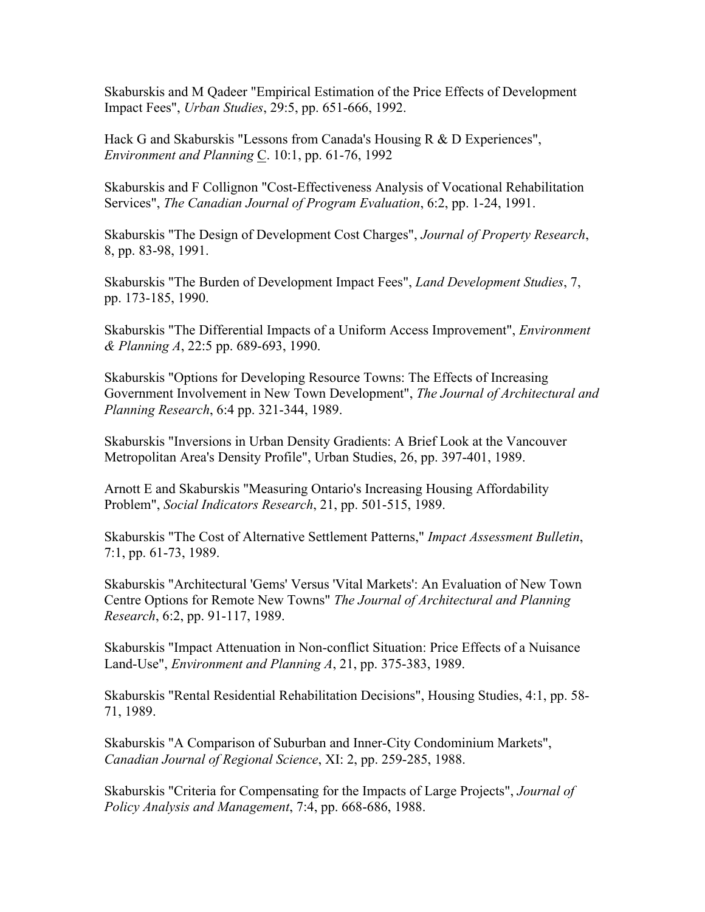Skaburskis and M Qadeer "Empirical Estimation of the Price Effects of Development Impact Fees", *Urban Studies*, 29:5, pp. 651-666, 1992.

Hack G and Skaburskis "Lessons from Canada's Housing R & D Experiences", *Environment and Planning* C. 10:1, pp. 61-76, 1992

Skaburskis and F Collignon "Cost-Effectiveness Analysis of Vocational Rehabilitation Services", *The Canadian Journal of Program Evaluation*, 6:2, pp. 1-24, 1991.

Skaburskis "The Design of Development Cost Charges", *Journal of Property Research*, 8, pp. 83-98, 1991.

Skaburskis "The Burden of Development Impact Fees", *Land Development Studies*, 7, pp. 173-185, 1990.

Skaburskis "The Differential Impacts of a Uniform Access Improvement", *Environment & Planning A*, 22:5 pp. 689-693, 1990.

Skaburskis "Options for Developing Resource Towns: The Effects of Increasing Government Involvement in New Town Development", *The Journal of Architectural and Planning Research*, 6:4 pp. 321-344, 1989.

Skaburskis "Inversions in Urban Density Gradients: A Brief Look at the Vancouver Metropolitan Area's Density Profile", Urban Studies, 26, pp. 397-401, 1989.

Arnott E and Skaburskis "Measuring Ontario's Increasing Housing Affordability Problem", *Social Indicators Research*, 21, pp. 501-515, 1989.

Skaburskis "The Cost of Alternative Settlement Patterns," *Impact Assessment Bulletin*, 7:1, pp. 61-73, 1989.

Skaburskis "Architectural 'Gems' Versus 'Vital Markets': An Evaluation of New Town Centre Options for Remote New Towns" *The Journal of Architectural and Planning Research*, 6:2, pp. 91-117, 1989.

Skaburskis "Impact Attenuation in Non-conflict Situation: Price Effects of a Nuisance Land-Use", *Environment and Planning A*, 21, pp. 375-383, 1989.

Skaburskis "Rental Residential Rehabilitation Decisions", Housing Studies, 4:1, pp. 58- 71, 1989.

Skaburskis "A Comparison of Suburban and Inner-City Condominium Markets", *Canadian Journal of Regional Science*, XI: 2, pp. 259-285, 1988.

Skaburskis "Criteria for Compensating for the Impacts of Large Projects", *Journal of Policy Analysis and Management*, 7:4, pp. 668-686, 1988.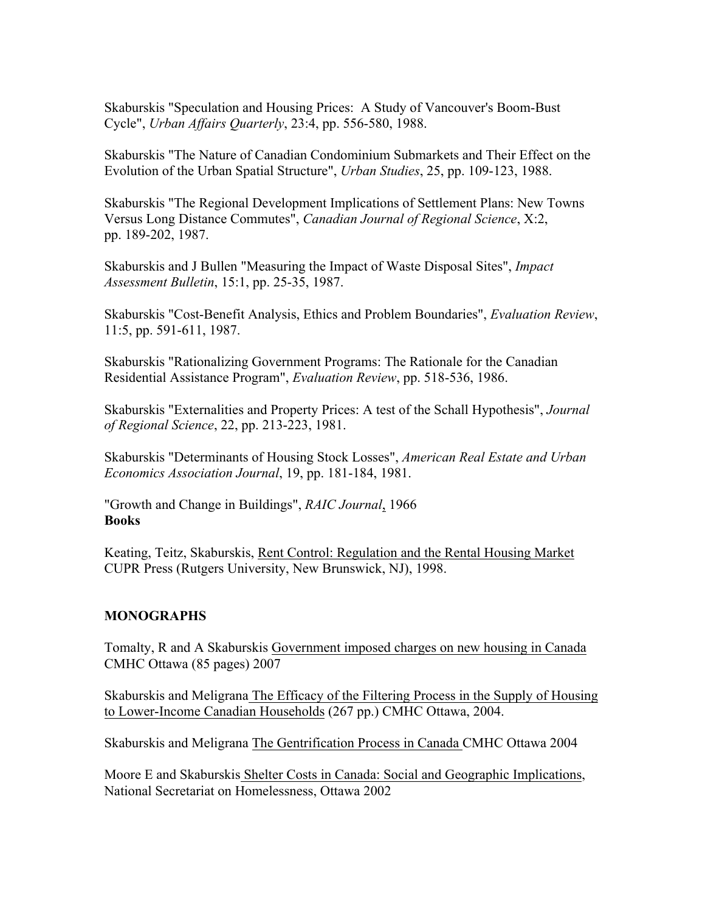Skaburskis "Speculation and Housing Prices: A Study of Vancouver's Boom-Bust Cycle", *Urban Affairs Quarterly*, 23:4, pp. 556-580, 1988.

Skaburskis "The Nature of Canadian Condominium Submarkets and Their Effect on the Evolution of the Urban Spatial Structure", *Urban Studies*, 25, pp. 109-123, 1988.

Skaburskis "The Regional Development Implications of Settlement Plans: New Towns Versus Long Distance Commutes", *Canadian Journal of Regional Science*, X:2, pp. 189-202, 1987.

Skaburskis and J Bullen "Measuring the Impact of Waste Disposal Sites", *Impact Assessment Bulletin*, 15:1, pp. 25-35, 1987.

Skaburskis "Cost-Benefit Analysis, Ethics and Problem Boundaries", *Evaluation Review*, 11:5, pp. 591-611, 1987.

Skaburskis "Rationalizing Government Programs: The Rationale for the Canadian Residential Assistance Program", *Evaluation Review*, pp. 518-536, 1986.

Skaburskis "Externalities and Property Prices: A test of the Schall Hypothesis", *Journal of Regional Science*, 22, pp. 213-223, 1981.

Skaburskis "Determinants of Housing Stock Losses", *American Real Estate and Urban Economics Association Journal*, 19, pp. 181-184, 1981.

"Growth and Change in Buildings", *RAIC Journal*, 1966 **Books**

Keating, Teitz, Skaburskis, Rent Control: Regulation and the Rental Housing Market CUPR Press (Rutgers University, New Brunswick, NJ), 1998.

### **MONOGRAPHS**

Tomalty, R and A Skaburskis Government imposed charges on new housing in Canada CMHC Ottawa (85 pages) 2007

Skaburskis and Meligrana The Efficacy of the Filtering Process in the Supply of Housing to Lower-Income Canadian Households (267 pp.) CMHC Ottawa, 2004.

Skaburskis and Meligrana The Gentrification Process in Canada CMHC Ottawa 2004

Moore E and Skaburskis Shelter Costs in Canada: Social and Geographic Implications, National Secretariat on Homelessness, Ottawa 2002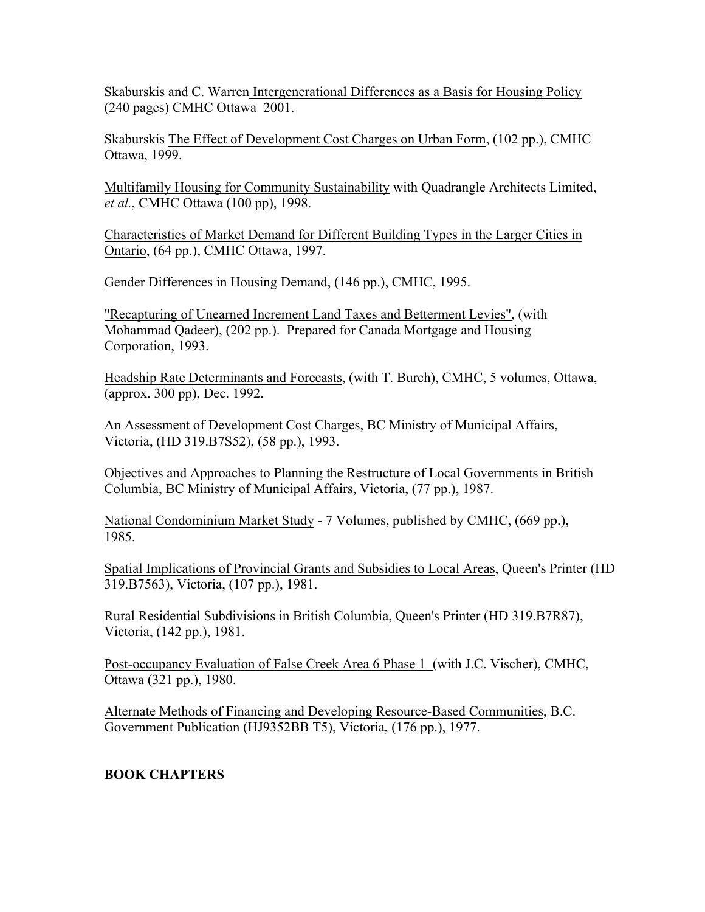Skaburskis and C. Warren Intergenerational Differences as a Basis for Housing Policy (240 pages) CMHC Ottawa 2001.

Skaburskis The Effect of Development Cost Charges on Urban Form, (102 pp.), CMHC Ottawa, 1999.

Multifamily Housing for Community Sustainability with Quadrangle Architects Limited, *et al.*, CMHC Ottawa (100 pp), 1998.

Characteristics of Market Demand for Different Building Types in the Larger Cities in Ontario, (64 pp.), CMHC Ottawa, 1997.

Gender Differences in Housing Demand, (146 pp.), CMHC, 1995.

"Recapturing of Unearned Increment Land Taxes and Betterment Levies", (with Mohammad Qadeer), (202 pp.). Prepared for Canada Mortgage and Housing Corporation, 1993.

Headship Rate Determinants and Forecasts, (with T. Burch), CMHC, 5 volumes, Ottawa, (approx. 300 pp), Dec. 1992.

An Assessment of Development Cost Charges, BC Ministry of Municipal Affairs, Victoria, (HD 319.B7S52), (58 pp.), 1993.

Objectives and Approaches to Planning the Restructure of Local Governments in British Columbia, BC Ministry of Municipal Affairs, Victoria, (77 pp.), 1987.

National Condominium Market Study - 7 Volumes, published by CMHC, (669 pp.), 1985.

Spatial Implications of Provincial Grants and Subsidies to Local Areas, Queen's Printer (HD 319.B7563), Victoria, (107 pp.), 1981.

Rural Residential Subdivisions in British Columbia, Queen's Printer (HD 319.B7R87), Victoria, (142 pp.), 1981.

Post-occupancy Evaluation of False Creek Area 6 Phase 1 (with J.C. Vischer), CMHC, Ottawa (321 pp.), 1980.

Alternate Methods of Financing and Developing Resource-Based Communities, B.C. Government Publication (HJ9352BB T5), Victoria, (176 pp.), 1977.

# **BOOK CHAPTERS**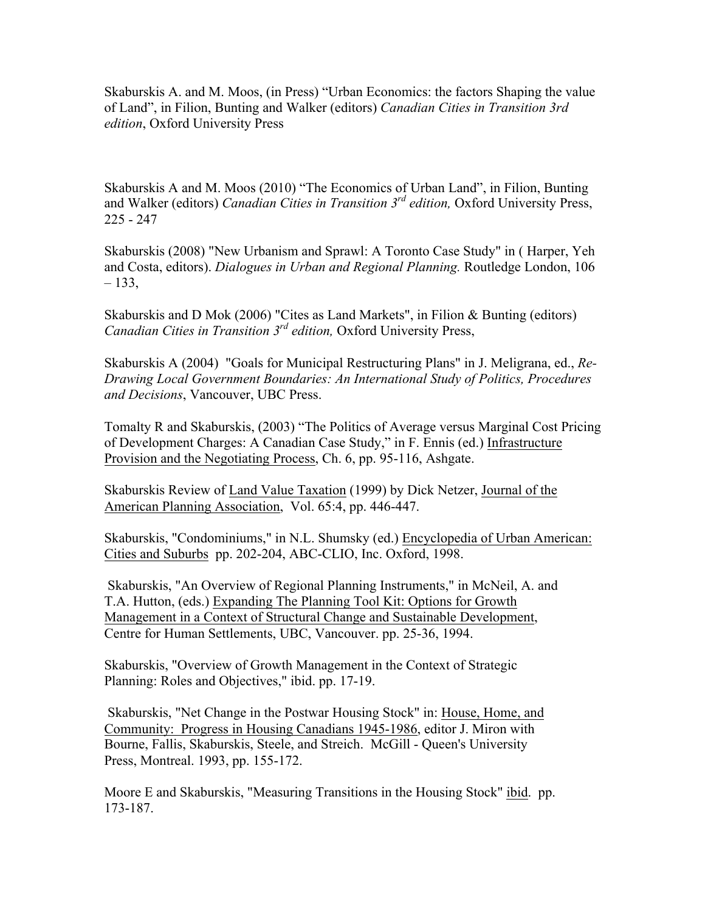Skaburskis A. and M. Moos, (in Press) "Urban Economics: the factors Shaping the value of Land", in Filion, Bunting and Walker (editors) *Canadian Cities in Transition 3rd edition*, Oxford University Press

Skaburskis A and M. Moos (2010) "The Economics of Urban Land", in Filion, Bunting and Walker (editors) *Canadian Cities in Transition 3rd edition,* Oxford University Press, 225 - 247

Skaburskis (2008) "New Urbanism and Sprawl: A Toronto Case Study" in ( Harper, Yeh and Costa, editors). *Dialogues in Urban and Regional Planning.* Routledge London, 106 – 133,

Skaburskis and D Mok (2006) "Cites as Land Markets", in Filion & Bunting (editors) *Canadian Cities in Transition 3rd edition,* Oxford University Press,

Skaburskis A (2004) "Goals for Municipal Restructuring Plans" in J. Meligrana, ed., *Re-Drawing Local Government Boundaries: An International Study of Politics, Procedures and Decisions*, Vancouver, UBC Press.

Tomalty R and Skaburskis, (2003) "The Politics of Average versus Marginal Cost Pricing of Development Charges: A Canadian Case Study," in F. Ennis (ed.) Infrastructure Provision and the Negotiating Process, Ch. 6, pp. 95-116, Ashgate.

Skaburskis Review of Land Value Taxation (1999) by Dick Netzer, Journal of the American Planning Association, Vol. 65:4, pp. 446-447.

Skaburskis, "Condominiums," in N.L. Shumsky (ed.) Encyclopedia of Urban American: Cities and Suburbs pp. 202-204, ABC-CLIO, Inc. Oxford, 1998.

Skaburskis, "An Overview of Regional Planning Instruments," in McNeil, A. and T.A. Hutton, (eds.) Expanding The Planning Tool Kit: Options for Growth Management in a Context of Structural Change and Sustainable Development, Centre for Human Settlements, UBC, Vancouver. pp. 25-36, 1994.

Skaburskis, "Overview of Growth Management in the Context of Strategic Planning: Roles and Objectives," ibid. pp. 17-19.

Skaburskis, "Net Change in the Postwar Housing Stock" in: House, Home, and Community: Progress in Housing Canadians 1945-1986, editor J. Miron with Bourne, Fallis, Skaburskis, Steele, and Streich. McGill - Queen's University Press, Montreal. 1993, pp. 155-172.

Moore E and Skaburskis, "Measuring Transitions in the Housing Stock" ibid. pp. 173-187.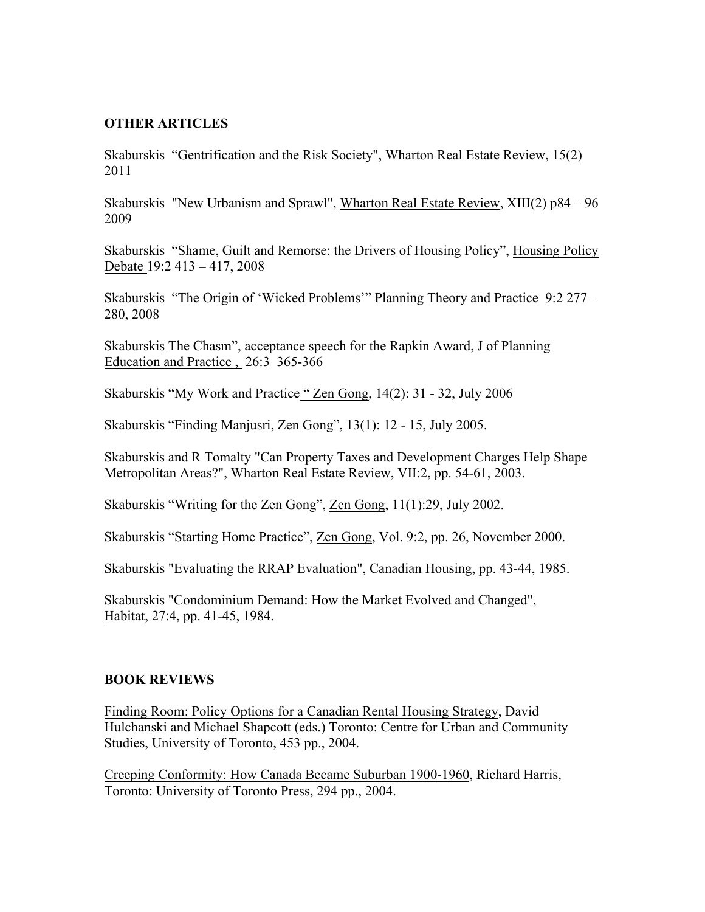#### **OTHER ARTICLES**

Skaburskis "Gentrification and the Risk Society", Wharton Real Estate Review, 15(2) 2011

Skaburskis "New Urbanism and Sprawl", Wharton Real Estate Review, XIII(2) p84 – 96 2009

Skaburskis "Shame, Guilt and Remorse: the Drivers of Housing Policy", Housing Policy Debate 19:2 413 – 417, 2008

Skaburskis "The Origin of 'Wicked Problems'" Planning Theory and Practice 9:2 277 – 280, 2008

Skaburskis The Chasm", acceptance speech for the Rapkin Award, J of Planning Education and Practice , 26:3 365-366

Skaburskis "My Work and Practice " Zen Gong, 14(2): 31 - 32, July 2006

Skaburskis "Finding Manjusri, Zen Gong", 13(1): 12 - 15, July 2005.

Skaburskis and R Tomalty "Can Property Taxes and Development Charges Help Shape Metropolitan Areas?", Wharton Real Estate Review, VII:2, pp. 54-61, 2003.

Skaburskis "Writing for the Zen Gong", Zen Gong, 11(1):29, July 2002.

Skaburskis "Starting Home Practice", Zen Gong, Vol. 9:2, pp. 26, November 2000.

Skaburskis "Evaluating the RRAP Evaluation", Canadian Housing, pp. 43-44, 1985.

Skaburskis "Condominium Demand: How the Market Evolved and Changed", Habitat, 27:4, pp. 41-45, 1984.

#### **BOOK REVIEWS**

Finding Room: Policy Options for a Canadian Rental Housing Strategy, David Hulchanski and Michael Shapcott (eds.) Toronto: Centre for Urban and Community Studies, University of Toronto, 453 pp., 2004.

Creeping Conformity: How Canada Became Suburban 1900-1960, Richard Harris, Toronto: University of Toronto Press, 294 pp., 2004.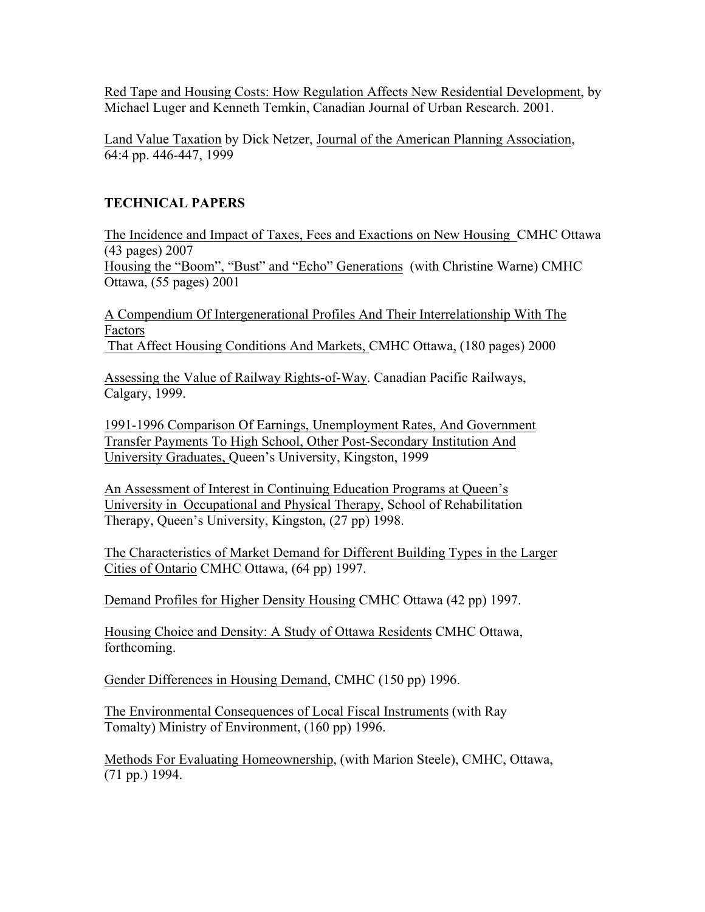Red Tape and Housing Costs: How Regulation Affects New Residential Development, by Michael Luger and Kenneth Temkin, Canadian Journal of Urban Research. 2001.

Land Value Taxation by Dick Netzer, Journal of the American Planning Association, 64:4 pp. 446-447, 1999

# **TECHNICAL PAPERS**

The Incidence and Impact of Taxes, Fees and Exactions on New Housing CMHC Ottawa (43 pages) 2007 Housing the "Boom", "Bust" and "Echo" Generations (with Christine Warne) CMHC

Ottawa, (55 pages) 2001

A Compendium Of Intergenerational Profiles And Their Interrelationship With The Factors That Affect Housing Conditions And Markets, CMHC Ottawa, (180 pages) 2000

Assessing the Value of Railway Rights-of-Way. Canadian Pacific Railways, Calgary, 1999.

1991-1996 Comparison Of Earnings, Unemployment Rates, And Government Transfer Payments To High School, Other Post-Secondary Institution And University Graduates, Queen's University, Kingston, 1999

An Assessment of Interest in Continuing Education Programs at Queen's University in Occupational and Physical Therapy, School of Rehabilitation Therapy, Queen's University, Kingston, (27 pp) 1998.

The Characteristics of Market Demand for Different Building Types in the Larger Cities of Ontario CMHC Ottawa, (64 pp) 1997.

Demand Profiles for Higher Density Housing CMHC Ottawa (42 pp) 1997.

Housing Choice and Density: A Study of Ottawa Residents CMHC Ottawa, forthcoming.

Gender Differences in Housing Demand, CMHC (150 pp) 1996.

The Environmental Consequences of Local Fiscal Instruments (with Ray Tomalty) Ministry of Environment, (160 pp) 1996.

Methods For Evaluating Homeownership, (with Marion Steele), CMHC, Ottawa, (71 pp.) 1994.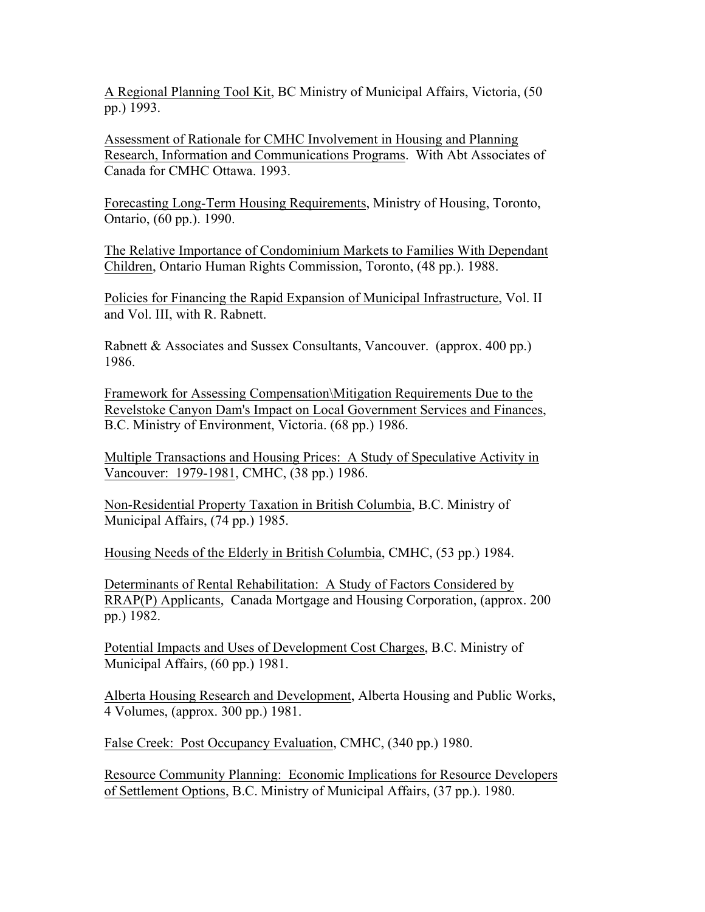A Regional Planning Tool Kit, BC Ministry of Municipal Affairs, Victoria, (50 pp.) 1993.

Assessment of Rationale for CMHC Involvement in Housing and Planning Research, Information and Communications Programs. With Abt Associates of Canada for CMHC Ottawa. 1993.

Forecasting Long-Term Housing Requirements, Ministry of Housing, Toronto, Ontario, (60 pp.). 1990.

The Relative Importance of Condominium Markets to Families With Dependant Children, Ontario Human Rights Commission, Toronto, (48 pp.). 1988.

Policies for Financing the Rapid Expansion of Municipal Infrastructure, Vol. II and Vol. III, with R. Rabnett.

Rabnett & Associates and Sussex Consultants, Vancouver. (approx. 400 pp.) 1986.

Framework for Assessing Compensation\Mitigation Requirements Due to the Revelstoke Canyon Dam's Impact on Local Government Services and Finances, B.C. Ministry of Environment, Victoria. (68 pp.) 1986.

Multiple Transactions and Housing Prices: A Study of Speculative Activity in Vancouver: 1979-1981, CMHC, (38 pp.) 1986.

Non-Residential Property Taxation in British Columbia, B.C. Ministry of Municipal Affairs, (74 pp.) 1985.

Housing Needs of the Elderly in British Columbia, CMHC, (53 pp.) 1984.

Determinants of Rental Rehabilitation: A Study of Factors Considered by RRAP(P) Applicants, Canada Mortgage and Housing Corporation, (approx. 200 pp.) 1982.

Potential Impacts and Uses of Development Cost Charges, B.C. Ministry of Municipal Affairs, (60 pp.) 1981.

Alberta Housing Research and Development, Alberta Housing and Public Works, 4 Volumes, (approx. 300 pp.) 1981.

False Creek: Post Occupancy Evaluation, CMHC, (340 pp.) 1980.

Resource Community Planning: Economic Implications for Resource Developers of Settlement Options, B.C. Ministry of Municipal Affairs, (37 pp.). 1980.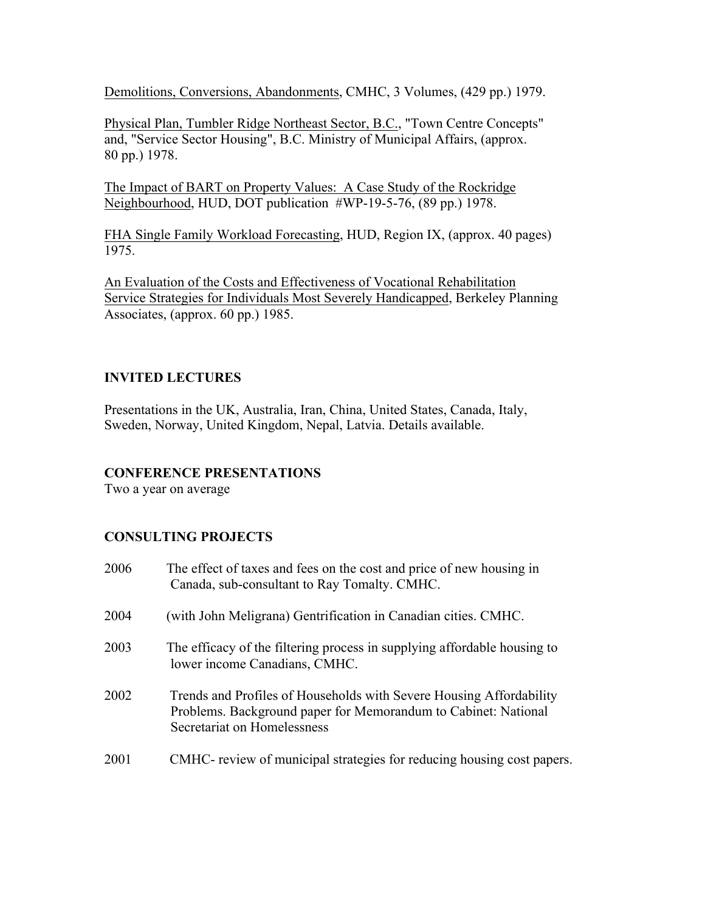Demolitions, Conversions, Abandonments, CMHC, 3 Volumes, (429 pp.) 1979.

Physical Plan, Tumbler Ridge Northeast Sector, B.C., "Town Centre Concepts" and, "Service Sector Housing", B.C. Ministry of Municipal Affairs, (approx. 80 pp.) 1978.

The Impact of BART on Property Values: A Case Study of the Rockridge Neighbourhood, HUD, DOT publication #WP-19-5-76, (89 pp.) 1978.

FHA Single Family Workload Forecasting, HUD, Region IX, (approx. 40 pages) 1975.

An Evaluation of the Costs and Effectiveness of Vocational Rehabilitation Service Strategies for Individuals Most Severely Handicapped, Berkeley Planning Associates, (approx. 60 pp.) 1985.

# **INVITED LECTURES**

Presentations in the UK, Australia, Iran, China, United States, Canada, Italy, Sweden, Norway, United Kingdom, Nepal, Latvia. Details available.

# **CONFERENCE PRESENTATIONS**

Two a year on average

# **CONSULTING PROJECTS**

2006 The effect of taxes and fees on the cost and price of new housing in Canada, sub-consultant to Ray Tomalty. CMHC. 2004 (with John Meligrana) Gentrification in Canadian cities. CMHC. 2003 The efficacy of the filtering process in supplying affordable housing to lower income Canadians, CMHC. 2002 Trends and Profiles of Households with Severe Housing Affordability Problems. Background paper for Memorandum to Cabinet: National Secretariat on Homelessness 2001 CMHC- review of municipal strategies for reducing housing cost papers.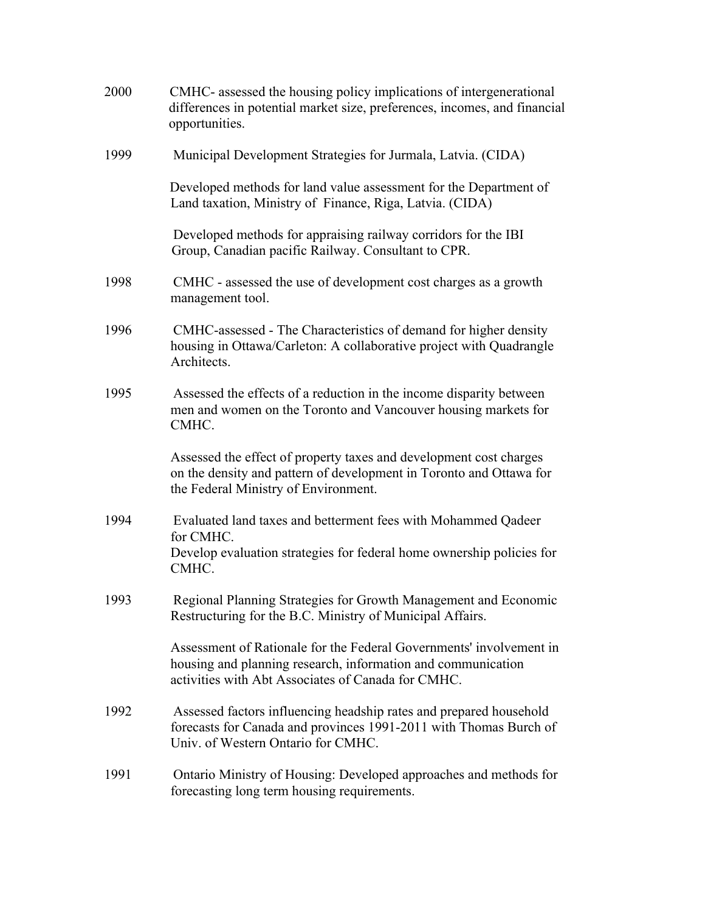| 2000 | CMHC- assessed the housing policy implications of intergenerational<br>differences in potential market size, preferences, incomes, and financial<br>opportunities.                        |
|------|-------------------------------------------------------------------------------------------------------------------------------------------------------------------------------------------|
| 1999 | Municipal Development Strategies for Jurmala, Latvia. (CIDA)                                                                                                                              |
|      | Developed methods for land value assessment for the Department of<br>Land taxation, Ministry of Finance, Riga, Latvia. (CIDA)                                                             |
|      | Developed methods for appraising railway corridors for the IBI<br>Group, Canadian pacific Railway. Consultant to CPR.                                                                     |
| 1998 | CMHC - assessed the use of development cost charges as a growth<br>management tool.                                                                                                       |
| 1996 | CMHC-assessed - The Characteristics of demand for higher density<br>housing in Ottawa/Carleton: A collaborative project with Quadrangle<br>Architects.                                    |
| 1995 | Assessed the effects of a reduction in the income disparity between<br>men and women on the Toronto and Vancouver housing markets for<br>CMHC.                                            |
|      | Assessed the effect of property taxes and development cost charges<br>on the density and pattern of development in Toronto and Ottawa for<br>the Federal Ministry of Environment.         |
| 1994 | Evaluated land taxes and betterment fees with Mohammed Qadeer<br>for CMHC.<br>Develop evaluation strategies for federal home ownership policies for<br>CMHC.                              |
| 1993 | Regional Planning Strategies for Growth Management and Economic<br>Restructuring for the B.C. Ministry of Municipal Affairs.                                                              |
|      | Assessment of Rationale for the Federal Governments' involvement in<br>housing and planning research, information and communication<br>activities with Abt Associates of Canada for CMHC. |
| 1992 | Assessed factors influencing headship rates and prepared household<br>forecasts for Canada and provinces 1991-2011 with Thomas Burch of<br>Univ. of Western Ontario for CMHC.             |
| 1991 | Ontario Ministry of Housing: Developed approaches and methods for<br>forecasting long term housing requirements.                                                                          |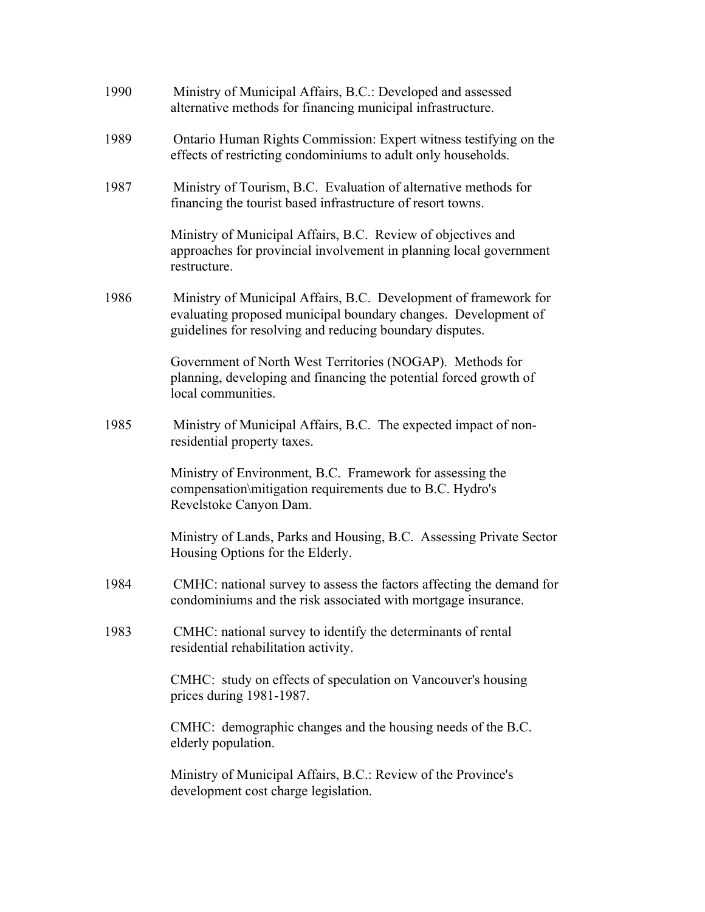| 1990 | Ministry of Municipal Affairs, B.C.: Developed and assessed<br>alternative methods for financing municipal infrastructure.                                                                     |
|------|------------------------------------------------------------------------------------------------------------------------------------------------------------------------------------------------|
| 1989 | Ontario Human Rights Commission: Expert witness testifying on the<br>effects of restricting condominiums to adult only households.                                                             |
| 1987 | Ministry of Tourism, B.C. Evaluation of alternative methods for<br>financing the tourist based infrastructure of resort towns.                                                                 |
|      | Ministry of Municipal Affairs, B.C. Review of objectives and<br>approaches for provincial involvement in planning local government<br>restructure.                                             |
| 1986 | Ministry of Municipal Affairs, B.C. Development of framework for<br>evaluating proposed municipal boundary changes. Development of<br>guidelines for resolving and reducing boundary disputes. |
|      | Government of North West Territories (NOGAP). Methods for<br>planning, developing and financing the potential forced growth of<br>local communities.                                           |
| 1985 | Ministry of Municipal Affairs, B.C. The expected impact of non-<br>residential property taxes.                                                                                                 |
|      | Ministry of Environment, B.C. Framework for assessing the<br>compensation\mitigation requirements due to B.C. Hydro's<br>Revelstoke Canyon Dam.                                                |
|      | Ministry of Lands, Parks and Housing, B.C. Assessing Private Sector<br>Housing Options for the Elderly.                                                                                        |
| 1984 | CMHC: national survey to assess the factors affecting the demand for<br>condominiums and the risk associated with mortgage insurance.                                                          |
| 1983 | CMHC: national survey to identify the determinants of rental<br>residential rehabilitation activity.                                                                                           |
|      | CMHC: study on effects of speculation on Vancouver's housing<br>prices during 1981-1987.                                                                                                       |
|      | CMHC: demographic changes and the housing needs of the B.C.<br>elderly population.                                                                                                             |
|      | Ministry of Municipal Affairs, B.C.: Review of the Province's<br>development cost charge legislation.                                                                                          |
|      |                                                                                                                                                                                                |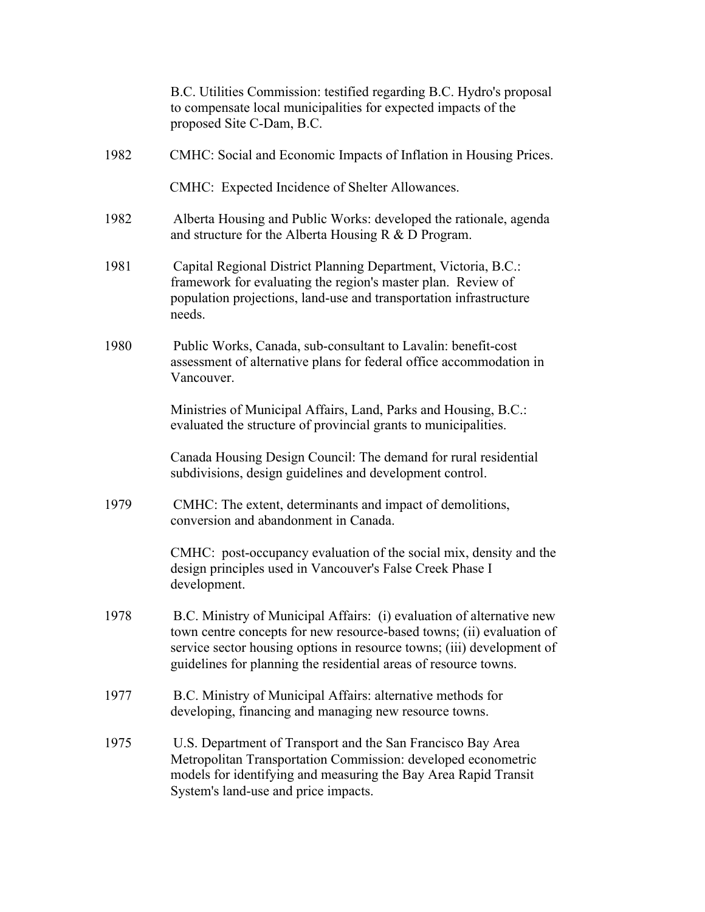|      | B.C. Utilities Commission: testified regarding B.C. Hydro's proposal<br>to compensate local municipalities for expected impacts of the<br>proposed Site C-Dam, B.C.                                                                                                                          |
|------|----------------------------------------------------------------------------------------------------------------------------------------------------------------------------------------------------------------------------------------------------------------------------------------------|
| 1982 | CMHC: Social and Economic Impacts of Inflation in Housing Prices.                                                                                                                                                                                                                            |
|      | CMHC: Expected Incidence of Shelter Allowances.                                                                                                                                                                                                                                              |
| 1982 | Alberta Housing and Public Works: developed the rationale, agenda<br>and structure for the Alberta Housing $R < D$ Program.                                                                                                                                                                  |
| 1981 | Capital Regional District Planning Department, Victoria, B.C.:<br>framework for evaluating the region's master plan. Review of<br>population projections, land-use and transportation infrastructure<br>needs.                                                                               |
| 1980 | Public Works, Canada, sub-consultant to Lavalin: benefit-cost<br>assessment of alternative plans for federal office accommodation in<br>Vancouver.                                                                                                                                           |
|      | Ministries of Municipal Affairs, Land, Parks and Housing, B.C.:<br>evaluated the structure of provincial grants to municipalities.                                                                                                                                                           |
|      | Canada Housing Design Council: The demand for rural residential<br>subdivisions, design guidelines and development control.                                                                                                                                                                  |
| 1979 | CMHC: The extent, determinants and impact of demolitions,<br>conversion and abandonment in Canada.                                                                                                                                                                                           |
|      | CMHC: post-occupancy evaluation of the social mix, density and the<br>design principles used in Vancouver's False Creek Phase I<br>development.                                                                                                                                              |
| 1978 | B.C. Ministry of Municipal Affairs: (i) evaluation of alternative new<br>town centre concepts for new resource-based towns; (ii) evaluation of<br>service sector housing options in resource towns; (iii) development of<br>guidelines for planning the residential areas of resource towns. |
| 1977 | B.C. Ministry of Municipal Affairs: alternative methods for<br>developing, financing and managing new resource towns.                                                                                                                                                                        |
| 1975 | U.S. Department of Transport and the San Francisco Bay Area<br>Metropolitan Transportation Commission: developed econometric<br>models for identifying and measuring the Bay Area Rapid Transit<br>System's land-use and price impacts.                                                      |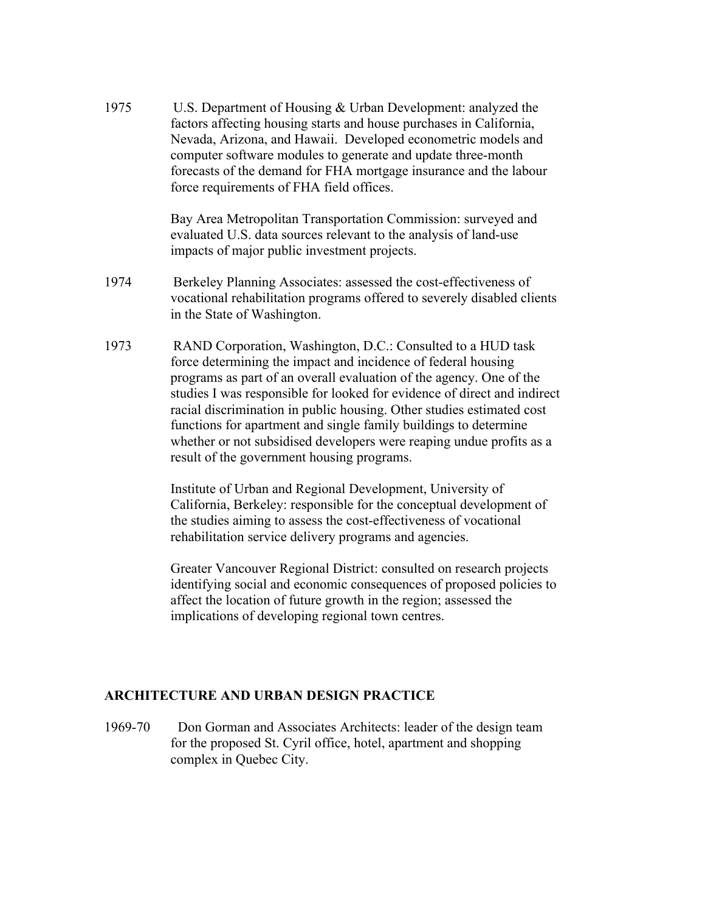1975 U.S. Department of Housing & Urban Development: analyzed the factors affecting housing starts and house purchases in California, Nevada, Arizona, and Hawaii. Developed econometric models and computer software modules to generate and update three-month forecasts of the demand for FHA mortgage insurance and the labour force requirements of FHA field offices.

> Bay Area Metropolitan Transportation Commission: surveyed and evaluated U.S. data sources relevant to the analysis of land-use impacts of major public investment projects.

- 1974 Berkeley Planning Associates: assessed the cost-effectiveness of vocational rehabilitation programs offered to severely disabled clients in the State of Washington.
- 1973 RAND Corporation, Washington, D.C.: Consulted to a HUD task force determining the impact and incidence of federal housing programs as part of an overall evaluation of the agency. One of the studies I was responsible for looked for evidence of direct and indirect racial discrimination in public housing. Other studies estimated cost functions for apartment and single family buildings to determine whether or not subsidised developers were reaping undue profits as a result of the government housing programs.

Institute of Urban and Regional Development, University of California, Berkeley: responsible for the conceptual development of the studies aiming to assess the cost-effectiveness of vocational rehabilitation service delivery programs and agencies.

Greater Vancouver Regional District: consulted on research projects identifying social and economic consequences of proposed policies to affect the location of future growth in the region; assessed the implications of developing regional town centres.

#### **ARCHITECTURE AND URBAN DESIGN PRACTICE**

1969-70 Don Gorman and Associates Architects: leader of the design team for the proposed St. Cyril office, hotel, apartment and shopping complex in Quebec City.